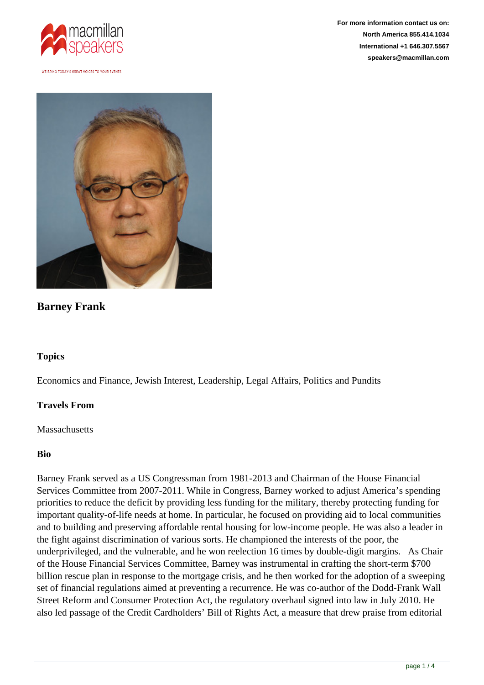



# **Barney Frank**

#### **Topics**

Economics and Finance, Jewish Interest, Leadership, Legal Affairs, Politics and Pundits

#### **Travels From**

**Massachusetts** 

#### **Bio**

Barney Frank served as a US Congressman from 1981-2013 and Chairman of the House Financial Services Committee from 2007-2011. While in Congress, Barney worked to adjust America's spending priorities to reduce the deficit by providing less funding for the military, thereby protecting funding for important quality-of-life needs at home. In particular, he focused on providing aid to local communities and to building and preserving affordable rental housing for low-income people. He was also a leader in the fight against discrimination of various sorts. He championed the interests of the poor, the underprivileged, and the vulnerable, and he won reelection 16 times by double-digit margins. As Chair of the House Financial Services Committee, Barney was instrumental in crafting the short-term \$700 billion rescue plan in response to the mortgage crisis, and he then worked for the adoption of a sweeping set of financial regulations aimed at preventing a recurrence. He was co-author of the Dodd-Frank Wall Street Reform and Consumer Protection Act, the regulatory overhaul signed into law in July 2010. He also led passage of the Credit Cardholders' Bill of Rights Act, a measure that drew praise from editorial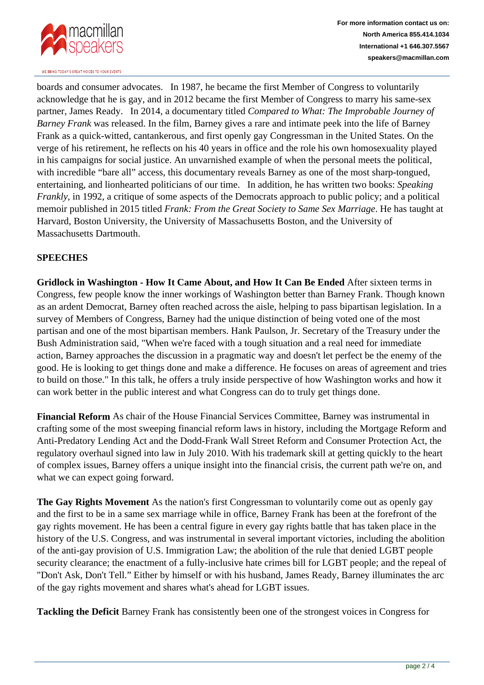

boards and consumer advocates. In 1987, he became the first Member of Congress to voluntarily acknowledge that he is gay, and in 2012 became the first Member of Congress to marry his same-sex partner, James Ready. In 2014, a documentary titled *Compared to What: The Improbable Journey of Barney Frank* was released. In the film, Barney gives a rare and intimate peek into the life of Barney Frank as a quick-witted, cantankerous, and first openly gay Congressman in the United States. On the verge of his retirement, he reflects on his 40 years in office and the role his own homosexuality played in his campaigns for social justice. An unvarnished example of when the personal meets the political, with incredible "bare all" access, this documentary reveals Barney as one of the most sharp-tongued, entertaining, and lionhearted politicians of our time. In addition, he has written two books: *Speaking Frankly*, in 1992, a critique of some aspects of the Democrats approach to public policy; and a political memoir published in 2015 titled *Frank: From the Great Society to Same Sex Marriage*. He has taught at Harvard, Boston University, the University of Massachusetts Boston, and the University of Massachusetts Dartmouth.

### **SPEECHES**

**Gridlock in Washington - How It Came About, and How It Can Be Ended** After sixteen terms in Congress, few people know the inner workings of Washington better than Barney Frank. Though known as an ardent Democrat, Barney often reached across the aisle, helping to pass bipartisan legislation. In a survey of Members of Congress, Barney had the unique distinction of being voted one of the most partisan and one of the most bipartisan members. Hank Paulson, Jr. Secretary of the Treasury under the Bush Administration said, "When we're faced with a tough situation and a real need for immediate action, Barney approaches the discussion in a pragmatic way and doesn't let perfect be the enemy of the good. He is looking to get things done and make a difference. He focuses on areas of agreement and tries to build on those." In this talk, he offers a truly inside perspective of how Washington works and how it can work better in the public interest and what Congress can do to truly get things done.

**Financial Reform** As chair of the House Financial Services Committee, Barney was instrumental in crafting some of the most sweeping financial reform laws in history, including the Mortgage Reform and Anti-Predatory Lending Act and the Dodd-Frank Wall Street Reform and Consumer Protection Act, the regulatory overhaul signed into law in July 2010. With his trademark skill at getting quickly to the heart of complex issues, Barney offers a unique insight into the financial crisis, the current path we're on, and what we can expect going forward.

**The Gay Rights Movement** As the nation's first Congressman to voluntarily come out as openly gay and the first to be in a same sex marriage while in office, Barney Frank has been at the forefront of the gay rights movement. He has been a central figure in every gay rights battle that has taken place in the history of the U.S. Congress, and was instrumental in several important victories, including the abolition of the anti-gay provision of U.S. Immigration Law; the abolition of the rule that denied LGBT people security clearance; the enactment of a fully-inclusive hate crimes bill for LGBT people; and the repeal of "Don't Ask, Don't Tell." Either by himself or with his husband, James Ready, Barney illuminates the arc of the gay rights movement and shares what's ahead for LGBT issues.

**Tackling the Deficit** Barney Frank has consistently been one of the strongest voices in Congress for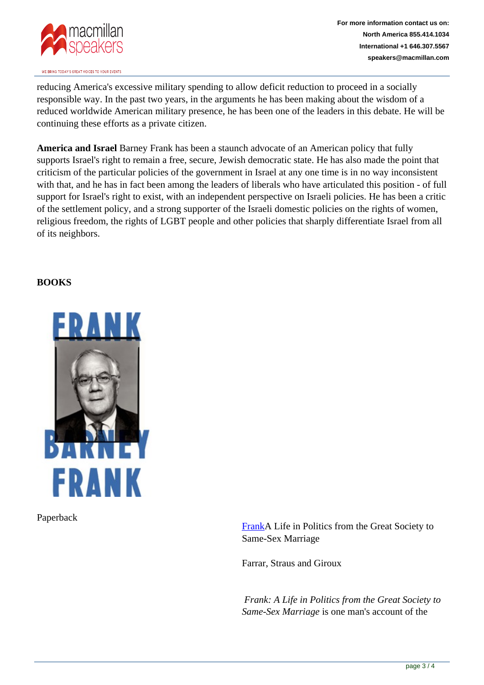

reducing America's excessive military spending to allow deficit reduction to proceed in a socially responsible way. In the past two years, in the arguments he has been making about the wisdom of a reduced worldwide American military presence, he has been one of the leaders in this debate. He will be continuing these efforts as a private citizen.

**America and Israel** Barney Frank has been a staunch advocate of an American policy that fully supports Israel's right to remain a free, secure, Jewish democratic state. He has also made the point that criticism of the particular policies of the government in Israel at any one time is in no way inconsistent with that, and he has in fact been among the leaders of liberals who have articulated this position - of full support for Israel's right to exist, with an independent perspective on Israeli policies. He has been a critic of the settlement policy, and a strong supporter of the Israeli domestic policies on the rights of women, religious freedom, the rights of LGBT people and other policies that sharply differentiate Israel from all of its neighbors.

## **BOOKS**



Paperback

[FrankA](http://us.macmillan.com/books/9780374280307) Life in Politics from the Great Society to Same-Sex Marriage

Farrar, Straus and Giroux

*Frank: A Life in Politics from the Great Society to Same-Sex Marriage* is one man's account of the